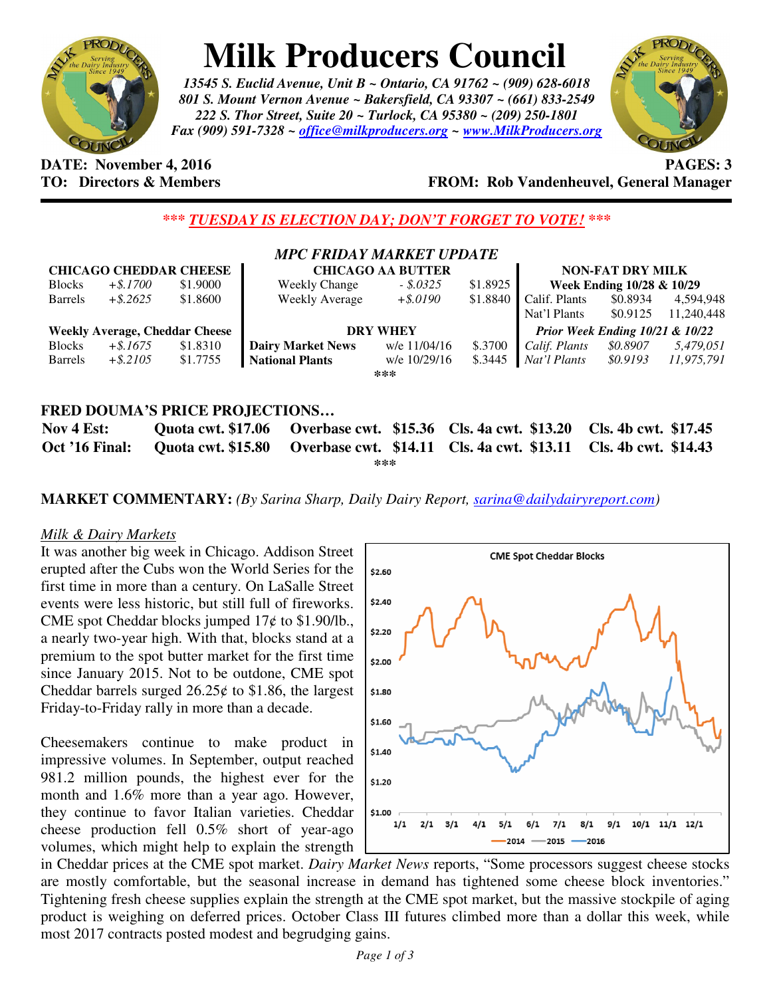

## **Milk Producers Council**

*13545 S. Euclid Avenue, Unit B ~ Ontario, CA 91762 ~ (909) 628-6018 801 S. Mount Vernon Avenue ~ Bakersfield, CA 93307 ~ (661) 833-2549 222 S. Thor Street, Suite 20 ~ Turlock, CA 95380 ~ (209) 250-1801 Fax (909) 591-7328 ~ office@milkproducers.org ~ www.MilkProducers.org*



**DATE:** November 4, 2016 **PAGES: 3** 

## **TO: Directors & Members FROM: Rob Vandenheuvel, General Manager**

*\*\*\* TUESDAY IS ELECTION DAY; DON'T FORGET TO VOTE! \*\*\** 

|                               |             |                                       | <b>MPC FRIDAY MARKET UPDATE</b>            |              |                      |                                            |                      |            |
|-------------------------------|-------------|---------------------------------------|--------------------------------------------|--------------|----------------------|--------------------------------------------|----------------------|------------|
| <b>CHICAGO CHEDDAR CHEESE</b> |             |                                       | <b>CHICAGO AA BUTTER</b>                   |              |                      | <b>NON-FAT DRY MILK</b>                    |                      |            |
| <b>Blocks</b>                 | $+$ \$.1700 | \$1,9000                              | <b>Weekly Change</b>                       | $-.5.0325$   | \$1.8925             | Week Ending 10/28 & 10/29                  |                      |            |
| <b>Barrels</b>                | $+$ \$.2625 | \$1.8600                              | <b>Weekly Average</b>                      | $+$ \$.0190  | \$1.8840             | Calif. Plants                              | \$0.8934             | 4.594.948  |
|                               |             |                                       |                                            |              |                      | Nat'l Plants                               | \$0.9125             | 11,240,448 |
|                               |             | <b>Weekly Average, Cheddar Cheese</b> | <b>DRY WHEY</b>                            |              |                      | <b>Prior Week Ending 10/21 &amp; 10/22</b> |                      |            |
| <b>Blocks</b>                 | $+$ \$.1675 | \$1.8310                              | <b>Dairy Market News</b>                   | w/e 11/04/16 | \$.3700              | Calif. Plants                              | \$0.8907             | 5,479,051  |
| <b>Barrels</b>                | $+$ \$.2105 | \$1.7755                              | <b>National Plants</b>                     | w/e 10/29/16 | \$.3445              | Nat'l Plants                               | \$0.9193             | 11.975.791 |
|                               |             |                                       |                                            | ***          |                      |                                            |                      |            |
|                               |             |                                       |                                            |              |                      |                                            |                      |            |
|                               |             |                                       | <b>FRED DOUMA'S PRICE PROJECTIONS</b>      |              |                      |                                            |                      |            |
| Nov 4 Est:                    |             | <b>Quota cwt. \$17.06</b>             | Overbase cwt. \$15.36 Cls. 4a cwt. \$13.20 |              |                      |                                            | Cls. 4b cwt. \$17.45 |            |
| Oct '16 Final:                |             | <b>Quota cwt. \$15.80</b>             | Overbase cwt. \$14.11                      |              | Cls. 4a cwt. \$13.11 |                                            | Cls. 4b cwt. \$14.43 |            |

**\*\*\*** 

**MARKET COMMENTARY:** *(By Sarina Sharp, Daily Dairy Report, sarina@dailydairyreport.com)* 

## *Milk & Dairy Markets*

It was another big week in Chicago. Addison Street erupted after the Cubs won the World Series for the first time in more than a century. On LaSalle Street events were less historic, but still full of fireworks. CME spot Cheddar blocks jumped  $17¢$  to \$1.90/lb., a nearly two-year high. With that, blocks stand at a premium to the spot butter market for the first time since January 2015. Not to be outdone, CME spot Cheddar barrels surged  $26.25¢$  to \$1.86, the largest Friday-to-Friday rally in more than a decade.

Cheesemakers continue to make product in impressive volumes. In September, output reached 981.2 million pounds, the highest ever for the month and 1.6% more than a year ago. However, they continue to favor Italian varieties. Cheddar cheese production fell 0.5% short of year-ago volumes, which might help to explain the strength



in Cheddar prices at the CME spot market. *Dairy Market News* reports, "Some processors suggest cheese stocks are mostly comfortable, but the seasonal increase in demand has tightened some cheese block inventories." Tightening fresh cheese supplies explain the strength at the CME spot market, but the massive stockpile of aging product is weighing on deferred prices. October Class III futures climbed more than a dollar this week, while most 2017 contracts posted modest and begrudging gains.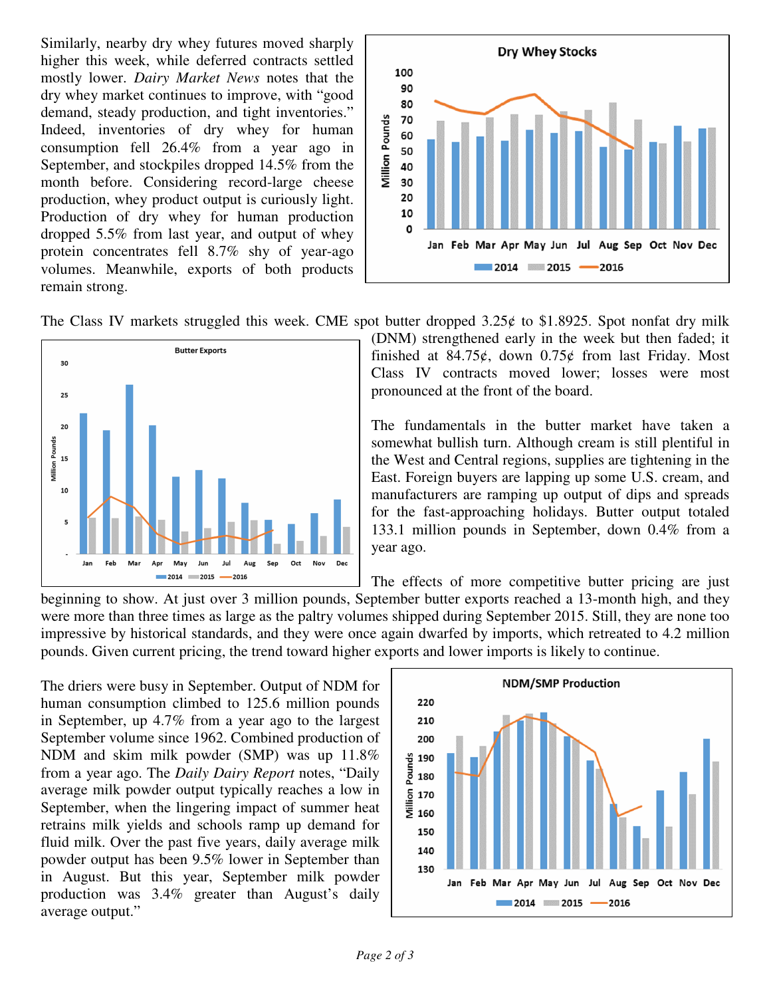Similarly, nearby dry whey futures moved sharply higher this week, while deferred contracts settled mostly lower. *Dairy Market News* notes that the dry whey market continues to improve, with "good demand, steady production, and tight inventories." Indeed, inventories of dry whey for human consumption fell 26.4% from a year ago in September, and stockpiles dropped 14.5% from the month before. Considering record-large cheese production, whey product output is curiously light. Production of dry whey for human production dropped 5.5% from last year, and output of whey protein concentrates fell 8.7% shy of year-ago volumes. Meanwhile, exports of both products remain strong.



The Class IV markets struggled this week. CME spot butter dropped  $3.25¢$  to \$1.8925. Spot nonfat dry milk



(DNM) strengthened early in the week but then faded; it finished at  $84.75\ell$ , down  $0.75\ell$  from last Friday. Most Class IV contracts moved lower; losses were most pronounced at the front of the board.

The fundamentals in the butter market have taken a somewhat bullish turn. Although cream is still plentiful in the West and Central regions, supplies are tightening in the East. Foreign buyers are lapping up some U.S. cream, and manufacturers are ramping up output of dips and spreads for the fast-approaching holidays. Butter output totaled 133.1 million pounds in September, down 0.4% from a year ago.

The effects of more competitive butter pricing are just

beginning to show. At just over 3 million pounds, September butter exports reached a 13-month high, and they were more than three times as large as the paltry volumes shipped during September 2015. Still, they are none too impressive by historical standards, and they were once again dwarfed by imports, which retreated to 4.2 million pounds. Given current pricing, the trend toward higher exports and lower imports is likely to continue.

The driers were busy in September. Output of NDM for human consumption climbed to 125.6 million pounds in September, up 4.7% from a year ago to the largest September volume since 1962. Combined production of NDM and skim milk powder (SMP) was up 11.8% from a year ago. The *Daily Dairy Report* notes, "Daily average milk powder output typically reaches a low in September, when the lingering impact of summer heat retrains milk yields and schools ramp up demand for fluid milk. Over the past five years, daily average milk powder output has been 9.5% lower in September than in August. But this year, September milk powder production was 3.4% greater than August's daily average output."